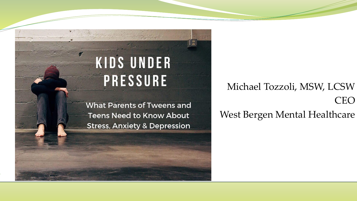#### KIDS UNDER **PRESSURE**

**What Parents of Tweens and Teens Need to Know About Stress, Anxiety & Depression** 

Michael Tozzoli, MSW, LCSW CEO West Bergen Mental Healthcare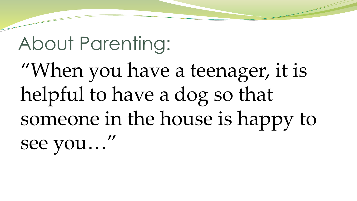# About Parenting:

# "When you have a teenager, it is helpful to have a dog so that someone in the house is happy to see you…"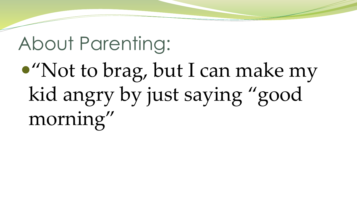### About Parenting:

# "Not to brag, but I can make my kid angry by just saying "good morning"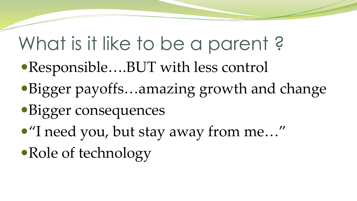# What is it like to be a parent ?

- Responsible….BUT with less control
- Bigger payoffs…amazing growth and change
- Bigger consequences
- "I need you, but stay away from me…"
- Role of technology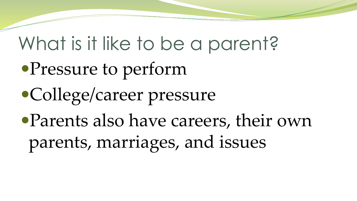### What is it like to be a parent?

- Pressure to perform
- College/career pressure
- Parents also have careers, their own parents, marriages, and issues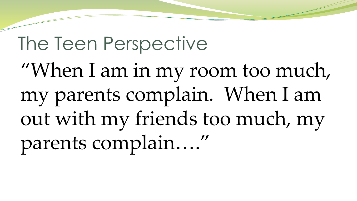#### The Teen Perspective

"When I am in my room too much, my parents complain. When I am out with my friends too much, my parents complain…."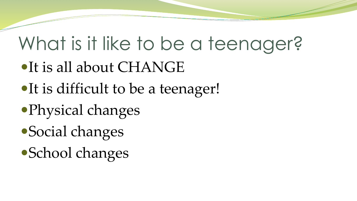# What is it like to be a teenager?

- $\bullet$ It is all about CHANGE
- It is difficult to be a teenager!
- Physical changes
- Social changes
- School changes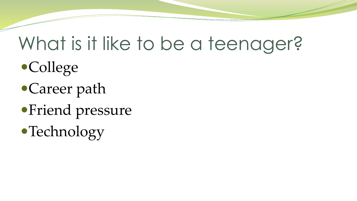# What is it like to be a teenager?

- College
- Career path
- Friend pressure
- Technology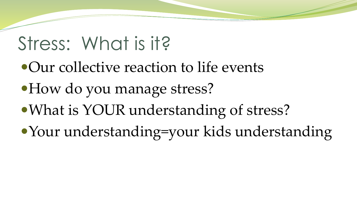#### Stress: What is it?

- Our collective reaction to life events
- How do you manage stress?
- What is YOUR understanding of stress?
- Your understanding=your kids understanding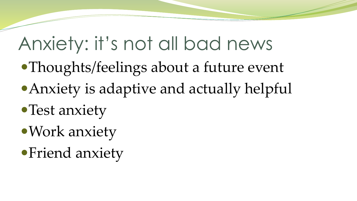# Anxiety: it's not all bad news

- Thoughts/feelings about a future event
- Anxiety is adaptive and actually helpful
- Test anxiety
- Work anxiety
- Friend anxiety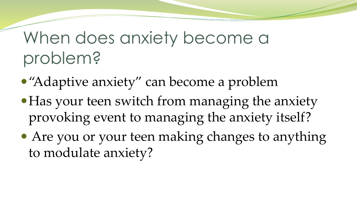#### When does anxiety become a problem?

- "Adaptive anxiety" can become a problem
- Has your teen switch from managing the anxiety provoking event to managing the anxiety itself?
- Are you or your teen making changes to anything to modulate anxiety?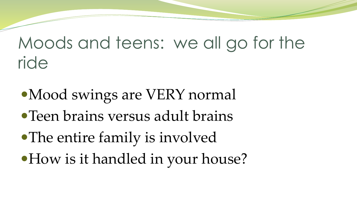#### Moods and teens: we all go for the ride

- Mood swings are VERY normal
- Teen brains versus adult brains
- The entire family is involved
- How is it handled in your house?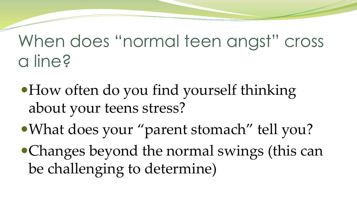#### When does "normal teen angst" cross a line?

- How often do you find yourself thinking about your teens stress?
- What does your "parent stomach" tell you?
- Changes beyond the normal swings (this can be challenging to determine)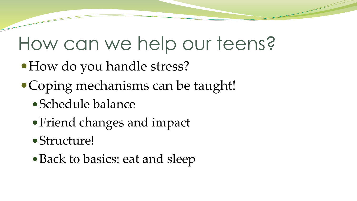# How can we help our teens?

- How do you handle stress?
- Coping mechanisms can be taught!
	- Schedule balance
	- Friend changes and impact
	- Structure!
	- Back to basics: eat and sleep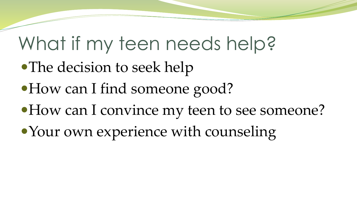# What if my teen needs help?

- The decision to seek help
- How can I find someone good?
- How can I convince my teen to see someone?
- Your own experience with counseling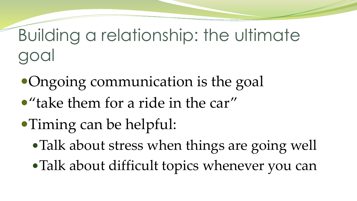# Building a relationship: the ultimate goal

- Ongoing communication is the goal
- "take them for a ride in the car"
- Timing can be helpful:
	- Talk about stress when things are going well
	- Talk about difficult topics whenever you can